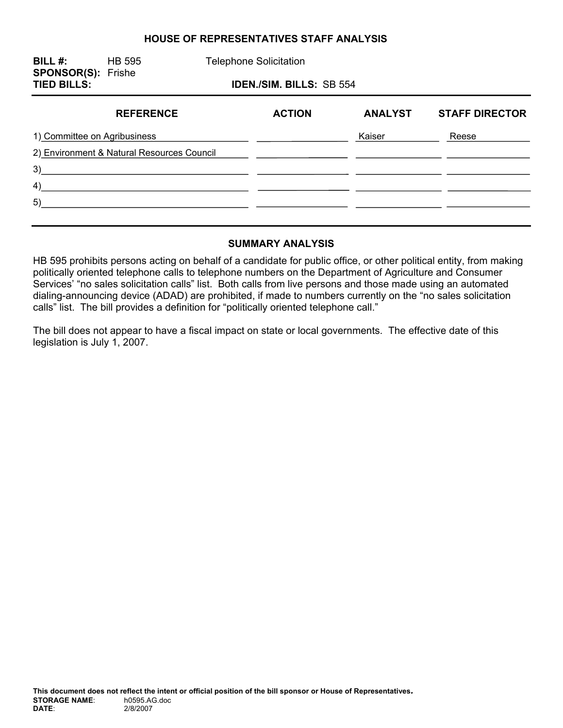#### **HOUSE OF REPRESENTATIVES STAFF ANALYSIS**

| BILL #:<br><b>SPONSOR(S): Frishe</b>       | <b>HB 595</b>    |  | <b>Telephone Solicitation</b>   |                |                       |
|--------------------------------------------|------------------|--|---------------------------------|----------------|-----------------------|
| <b>TIED BILLS:</b>                         |                  |  | <b>IDEN./SIM. BILLS: SB 554</b> |                |                       |
|                                            | <b>REFERENCE</b> |  | <b>ACTION</b>                   | <b>ANALYST</b> | <b>STAFF DIRECTOR</b> |
| 1) Committee on Agribusiness               |                  |  |                                 | Kaiser         | Reese                 |
| 2) Environment & Natural Resources Council |                  |  |                                 |                |                       |
| 3)                                         |                  |  |                                 |                |                       |
| 4)                                         |                  |  |                                 |                |                       |
| 5)                                         |                  |  |                                 |                |                       |
|                                            |                  |  |                                 |                |                       |

#### **SUMMARY ANALYSIS**

HB 595 prohibits persons acting on behalf of a candidate for public office, or other political entity, from making politically oriented telephone calls to telephone numbers on the Department of Agriculture and Consumer Services' "no sales solicitation calls" list. Both calls from live persons and those made using an automated dialing-announcing device (ADAD) are prohibited, if made to numbers currently on the "no sales solicitation calls" list. The bill provides a definition for "politically oriented telephone call."

The bill does not appear to have a fiscal impact on state or local governments. The effective date of this legislation is July 1, 2007.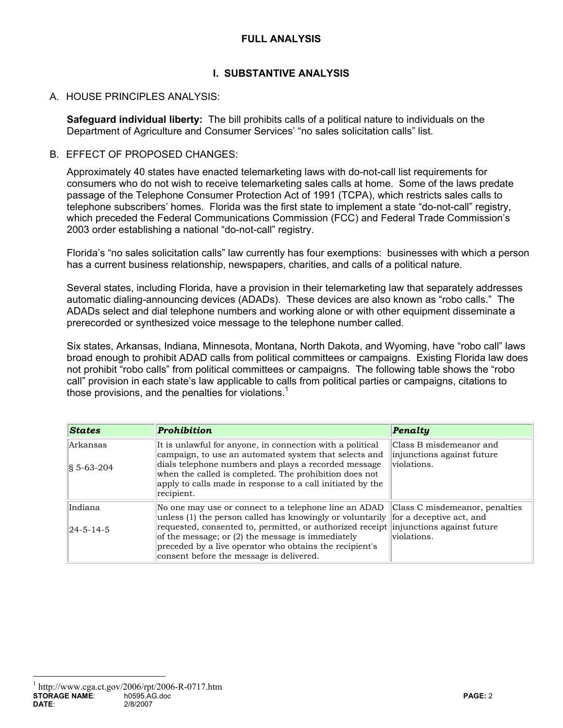### **FULL ANALYSIS**

### **I. SUBSTANTIVE ANALYSIS**

#### A. HOUSE PRINCIPLES ANALYSIS:

**Safeguard individual liberty:** The bill prohibits calls of a political nature to individuals on the Department of Agriculture and Consumer Services' "no sales solicitation calls" list.

#### B. FFFECT OF PROPOSED CHANGES:

Approximately 40 states have enacted telemarketing laws with do-not-call list requirements for consumers who do not wish to receive telemarketing sales calls at home. Some of the laws predate passage of the Telephone Consumer Protection Act of 1991 (TCPA), which restricts sales calls to telephone subscribers' homes. Florida was the first state to implement a state "do-not-call" registry, which preceded the Federal Communications Commission (FCC) and Federal Trade Commission's 2003 order establishing a national "do-not-call" registry.

Florida's "no sales solicitation calls" law currently has four exemptions: businesses with which a person has a current business relationship, newspapers, charities, and calls of a political nature.

Several states, including Florida, have a provision in their telemarketing law that separately addresses automatic dialing-announcing devices (ADADs). These devices are also known as "robo calls." The ADADs select and dial telephone numbers and working alone or with other equipment disseminate a prerecorded or synthesized voice message to the telephone number called.

Six states, Arkansas, Indiana, Minnesota, Montana, North Dakota, and Wyoming, have "robo call" laws broad enough to prohibit ADAD calls from political committees or campaigns. Existing Florida law does not prohibit "robo calls" from political committees or campaigns. The following table shows the "robo call" provision in each state's law applicable to calls from political parties or campaigns, citations to those provisions, and the penalties for violations.<sup>1</sup>

| <b>States</b>                   | <b>Prohibition</b>                                                                                                                                                                                                                                                                                                                                                                              | Penalty                                                              |
|---------------------------------|-------------------------------------------------------------------------------------------------------------------------------------------------------------------------------------------------------------------------------------------------------------------------------------------------------------------------------------------------------------------------------------------------|----------------------------------------------------------------------|
| Arkansas<br>$\sqrt{8}$ 5-63-204 | It is unlawful for anyone, in connection with a political<br>campaign, to use an automated system that selects and<br>dials telephone numbers and plays a recorded message<br>when the called is completed. The prohibition does not<br>apply to calls made in response to a call initiated by the<br>recipient.                                                                                | Class B misdemeanor and<br>injunctions against future<br>violations. |
| Indiana<br>$ 24 - 5 - 14 - 5 $  | No one may use or connect to a telephone line an ADAD<br>unless (1) the person called has knowingly or voluntarily for a deceptive act, and<br>requested, consented to, permitted, or authorized receipt injunctions against future<br>of the message; or (2) the message is immediately<br>preceded by a live operator who obtains the recipient's<br>consent before the message is delivered. | Class C misdemeanor, penalties<br>violations.                        |

 $\overline{a}$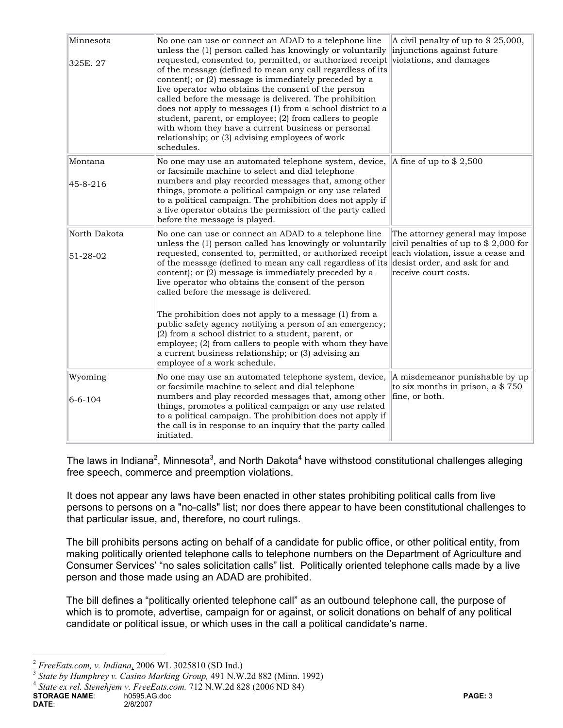| Minnesota<br>325E. 27          | No one can use or connect an ADAD to a telephone line<br>unless the (1) person called has knowingly or voluntarily<br>requested, consented to, permitted, or authorized receipt violations, and damages<br>of the message (defined to mean any call regardless of its<br>content); or (2) message is immediately preceded by a<br>live operator who obtains the consent of the person<br>called before the message is delivered. The prohibition<br>does not apply to messages (1) from a school district to a<br>student, parent, or employee; (2) from callers to people<br>with whom they have a current business or personal<br>relationship; or (3) advising employees of work<br>schedules. | A civil penalty of up to $$25,000$ ,<br>injunctions against future                                                                                                     |
|--------------------------------|---------------------------------------------------------------------------------------------------------------------------------------------------------------------------------------------------------------------------------------------------------------------------------------------------------------------------------------------------------------------------------------------------------------------------------------------------------------------------------------------------------------------------------------------------------------------------------------------------------------------------------------------------------------------------------------------------|------------------------------------------------------------------------------------------------------------------------------------------------------------------------|
| Montana<br>45-8-216            | No one may use an automated telephone system, device, $\ A\ $ fine of up to \$ 2,500<br>or facsimile machine to select and dial telephone<br>numbers and play recorded messages that, among other<br>things, promote a political campaign or any use related<br>to a political campaign. The prohibition does not apply if<br>a live operator obtains the permission of the party called<br>before the message is played.                                                                                                                                                                                                                                                                         |                                                                                                                                                                        |
| North Dakota<br>$51 - 28 - 02$ | No one can use or connect an ADAD to a telephone line<br>unless the (1) person called has knowingly or voluntarily<br>requested, consented to, permitted, or authorized receipt<br>of the message (defined to mean any call regardless of its<br>content); or (2) message is immediately preceded by a<br>live operator who obtains the consent of the person<br>called before the message is delivered.<br>The prohibition does not apply to a message (1) from a<br>public safety agency notifying a person of an emergency;<br>(2) from a school district to a student, parent, or<br>employee; (2) from callers to people with whom they have                                                 | The attorney general may impose<br>civil penalties of up to $$2,000$ for<br>each violation, issue a cease and<br>desist order, and ask for and<br>receive court costs. |
|                                | a current business relationship; or (3) advising an<br>employee of a work schedule.                                                                                                                                                                                                                                                                                                                                                                                                                                                                                                                                                                                                               |                                                                                                                                                                        |
| Wyoming<br>$6 - 6 - 104$       | No one may use an automated telephone system, device,<br>or facsimile machine to select and dial telephone<br>numbers and play recorded messages that, among other<br>things, promotes a political campaign or any use related<br>to a political campaign. The prohibition does not apply if<br>the call is in response to an inquiry that the party called<br>initiated.                                                                                                                                                                                                                                                                                                                         | A misdemeanor punishable by up<br>to six months in prison, a $$750$<br>fine, or both.                                                                                  |

The laws in Indiana<sup>2</sup>, Minnesota<sup>3</sup>, and North Dakota<sup>4</sup> have withstood constitutional challenges alleging free speech, commerce and preemption violations.

It does not appear any laws have been enacted in other states prohibiting political calls from live persons to persons on a "no-calls" list; nor does there appear to have been constitutional challenges to that particular issue, and, therefore, no court rulings.

The bill prohibits persons acting on behalf of a candidate for public office, or other political entity, from making politically oriented telephone calls to telephone numbers on the Department of Agriculture and Consumer Services' "no sales solicitation calls" list. Politically oriented telephone calls made by a live person and those made using an ADAD are prohibited.

The bill defines a "politically oriented telephone call" as an outbound telephone call, the purpose of which is to promote, advertise, campaign for or against, or solicit donations on behalf of any political candidate or political issue, or which uses in the call a political candidate's name.

 $\overline{a}$ 

<sup>&</sup>lt;sup>2</sup> *FreeEats.com, v. Indiana,* 2006 WL 3025810 (SD Ind.)<br><sup>3</sup> *State by Humphrey v. Casino Marking Group,* 491 N.W.2d 882 (Minn. 1992) <sup>4</sup> *State ex rel. Stenehjem v. FreeEats.com.* 712 N.W.2d 828 (2006 ND 84)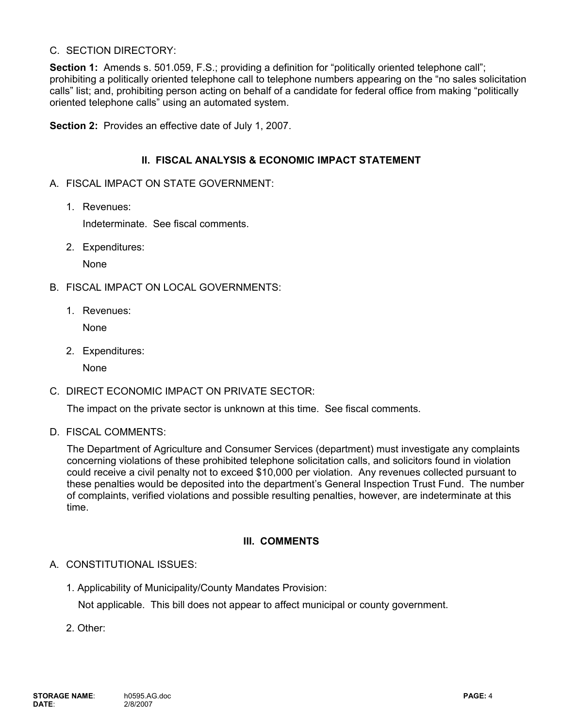### C. SECTION DIRECTORY:

**Section 1:** Amends s. 501.059, F.S.; providing a definition for "politically oriented telephone call"; prohibiting a politically oriented telephone call to telephone numbers appearing on the "no sales solicitation calls" list; and, prohibiting person acting on behalf of a candidate for federal office from making "politically oriented telephone calls" using an automated system.

**Section 2:** Provides an effective date of July 1, 2007.

### **II. FISCAL ANALYSIS & ECONOMIC IMPACT STATEMENT**

- A. FISCAL IMPACT ON STATE GOVERNMENT:
	- 1. Revenues:

Indeterminate. See fiscal comments.

2. Expenditures:

None

- B. FISCAL IMPACT ON LOCAL GOVERNMENTS:
	- 1. Revenues:

None

2. Expenditures:

None

C. DIRECT ECONOMIC IMPACT ON PRIVATE SECTOR:

The impact on the private sector is unknown at this time. See fiscal comments.

D. FISCAL COMMENTS:

The Department of Agriculture and Consumer Services (department) must investigate any complaints concerning violations of these prohibited telephone solicitation calls, and solicitors found in violation could receive a civil penalty not to exceed \$10,000 per violation. Any revenues collected pursuant to these penalties would be deposited into the department's General Inspection Trust Fund. The number of complaints, verified violations and possible resulting penalties, however, are indeterminate at this time.

## **III. COMMENTS**

#### A. CONSTITUTIONAL ISSUES:

1. Applicability of Municipality/County Mandates Provision:

Not applicable. This bill does not appear to affect municipal or county government.

2. Other: